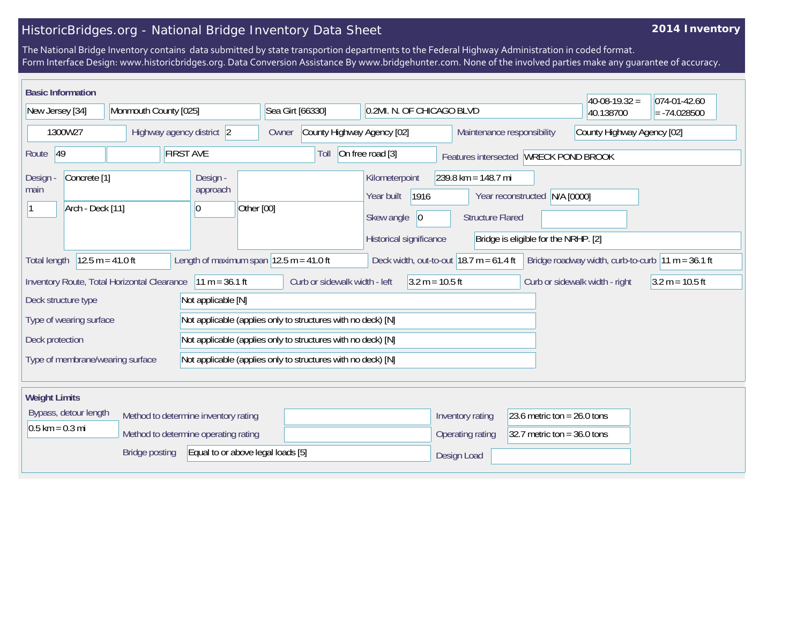## HistoricBridges.org - National Bridge Inventory Data Sheet

## **2014 Inventory**

The National Bridge Inventory contains data submitted by state transportion departments to the Federal Highway Administration in coded format. Form Interface Design: www.historicbridges.org. Data Conversion Assistance By www.bridgehunter.com. None of the involved parties make any guarantee of accuracy.

| <b>Basic Information</b>                                                                                                                                                                                                      |  |                                         |                                                              |                                                                                              |                                                  |                                                                       |                                                          | $40-08-19.32 =$   | 074-01-42.60   |
|-------------------------------------------------------------------------------------------------------------------------------------------------------------------------------------------------------------------------------|--|-----------------------------------------|--------------------------------------------------------------|----------------------------------------------------------------------------------------------|--------------------------------------------------|-----------------------------------------------------------------------|----------------------------------------------------------|-------------------|----------------|
| New Jersey [34]                                                                                                                                                                                                               |  | Monmouth County [025]                   |                                                              | Sea Girt [66330]                                                                             | 0.2MI. N. OF CHICAGO BLVD                        |                                                                       |                                                          | 40.138700         | $= -74.028500$ |
| 1300W27                                                                                                                                                                                                                       |  | Highway agency district 2               |                                                              | County Highway Agency [02]<br>Owner                                                          |                                                  |                                                                       | County Highway Agency [02]<br>Maintenance responsibility |                   |                |
| <b>FIRST AVE</b><br>Route 49                                                                                                                                                                                                  |  |                                         | Toll                                                         | On free road [3]                                                                             |                                                  | Features intersected WRECK POND BROOK                                 |                                                          |                   |                |
| Concrete <sup>[1]</sup><br>Design<br>main<br>Arch - Deck [11]                                                                                                                                                                 |  | Design -<br>approach<br>Other [00]<br>0 |                                                              | Kilometerpoint<br>1916<br>Year built<br>Skew angle<br>$ 0\rangle$<br>Historical significance | $239.8$ km = 148.7 mi<br><b>Structure Flared</b> | Year reconstructed N/A [0000]<br>Bridge is eligible for the NRHP. [2] |                                                          |                   |                |
| Length of maximum span $ 12.5 \text{ m} = 41.0 \text{ ft} $<br>$12.5 m = 41.0 ft$<br>Deck width, out-to-out $18.7 \text{ m} = 61.4 \text{ ft}$<br>Bridge roadway width, curb-to-curb $ 11 m = 36.1 ft$<br><b>Total length</b> |  |                                         |                                                              |                                                                                              |                                                  |                                                                       |                                                          |                   |                |
| Inventory Route, Total Horizontal Clearance<br>$11 m = 36.1 ft$                                                                                                                                                               |  |                                         | Curb or sidewalk width - left                                | $3.2 m = 10.5 ft$                                                                            |                                                  |                                                                       | Curb or sidewalk width - right                           | $3.2 m = 10.5 ft$ |                |
| Deck structure type<br>Not applicable [N]                                                                                                                                                                                     |  |                                         |                                                              |                                                                                              |                                                  |                                                                       |                                                          |                   |                |
| Type of wearing surface                                                                                                                                                                                                       |  |                                         | Not applicable (applies only to structures with no deck) [N] |                                                                                              |                                                  |                                                                       |                                                          |                   |                |
| Deck protection                                                                                                                                                                                                               |  |                                         | Not applicable (applies only to structures with no deck) [N] |                                                                                              |                                                  |                                                                       |                                                          |                   |                |
| Type of membrane/wearing surface                                                                                                                                                                                              |  |                                         | Not applicable (applies only to structures with no deck) [N] |                                                                                              |                                                  |                                                                       |                                                          |                   |                |
|                                                                                                                                                                                                                               |  |                                         |                                                              |                                                                                              |                                                  |                                                                       |                                                          |                   |                |
| <b>Weight Limits</b>                                                                                                                                                                                                          |  |                                         |                                                              |                                                                                              |                                                  |                                                                       |                                                          |                   |                |
| Bypass, detour length                                                                                                                                                                                                         |  | Method to determine inventory rating    |                                                              |                                                                                              | Inventory rating                                 | 23.6 metric ton = $26.0$ tons                                         |                                                          |                   |                |
| $0.5$ km = 0.3 mi<br>Method to determine operating rating                                                                                                                                                                     |  |                                         |                                                              |                                                                                              | Operating rating                                 | 32.7 metric ton = $36.0$ tons                                         |                                                          |                   |                |
| Equal to or above legal loads [5]<br><b>Bridge posting</b>                                                                                                                                                                    |  |                                         |                                                              |                                                                                              | Design Load                                      |                                                                       |                                                          |                   |                |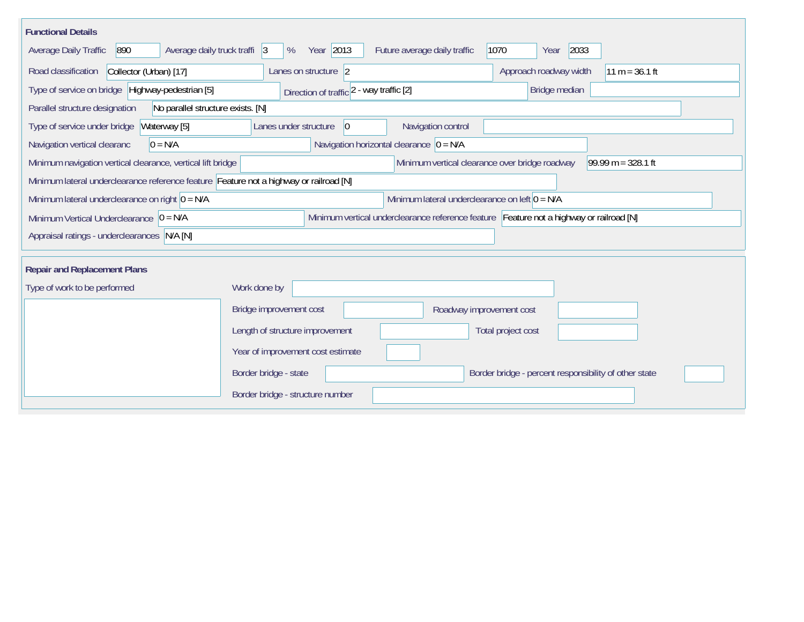| <b>Functional Details</b>                                                                                                             |                                             |                                      |                                                       |                  |  |  |
|---------------------------------------------------------------------------------------------------------------------------------------|---------------------------------------------|--------------------------------------|-------------------------------------------------------|------------------|--|--|
| 890<br>Average daily truck traffi 3<br>Average Daily Traffic                                                                          | Year 2013<br>%                              | Future average daily traffic<br>1070 | 2033<br>Year                                          |                  |  |  |
| Collector (Urban) [17]<br>Road classification                                                                                         | Lanes on structure 2                        |                                      | Approach roadway width                                | $11 m = 36.1 ft$ |  |  |
| Type of service on bridge Highway-pedestrian [5]                                                                                      | Direction of traffic 2 - way traffic [2]    |                                      | Bridge median                                         |                  |  |  |
| Parallel structure designation<br>No parallel structure exists. [N]                                                                   |                                             |                                      |                                                       |                  |  |  |
| Waterway [5]<br>Type of service under bridge                                                                                          | Lanes under structure<br>$ 0\rangle$        | Navigation control                   |                                                       |                  |  |  |
| $0 = N/A$<br>Navigation vertical clearanc                                                                                             | Navigation horizontal clearance $ 0 = N/A $ |                                      |                                                       |                  |  |  |
| Minimum vertical clearance over bridge roadway<br>$99.99 m = 328.1 ft$<br>Minimum navigation vertical clearance, vertical lift bridge |                                             |                                      |                                                       |                  |  |  |
| Minimum lateral underclearance reference feature Feature not a highway or railroad [N]                                                |                                             |                                      |                                                       |                  |  |  |
| Minimum lateral underclearance on left $0 = N/A$<br>Minimum lateral underclearance on right $0 = N/A$                                 |                                             |                                      |                                                       |                  |  |  |
| Minimum vertical underclearance reference feature Feature not a highway or railroad [N]<br>Minimum Vertical Underclearance $ 0 = N/A$ |                                             |                                      |                                                       |                  |  |  |
| Appraisal ratings - underclearances N/A [N]                                                                                           |                                             |                                      |                                                       |                  |  |  |
|                                                                                                                                       |                                             |                                      |                                                       |                  |  |  |
| <b>Repair and Replacement Plans</b>                                                                                                   |                                             |                                      |                                                       |                  |  |  |
| Type of work to be performed                                                                                                          | Work done by                                |                                      |                                                       |                  |  |  |
|                                                                                                                                       | Bridge improvement cost                     | Roadway improvement cost             |                                                       |                  |  |  |
|                                                                                                                                       | Length of structure improvement             |                                      | Total project cost                                    |                  |  |  |
|                                                                                                                                       | Year of improvement cost estimate           |                                      |                                                       |                  |  |  |
|                                                                                                                                       | Border bridge - state                       |                                      | Border bridge - percent responsibility of other state |                  |  |  |
|                                                                                                                                       | Border bridge - structure number            |                                      |                                                       |                  |  |  |